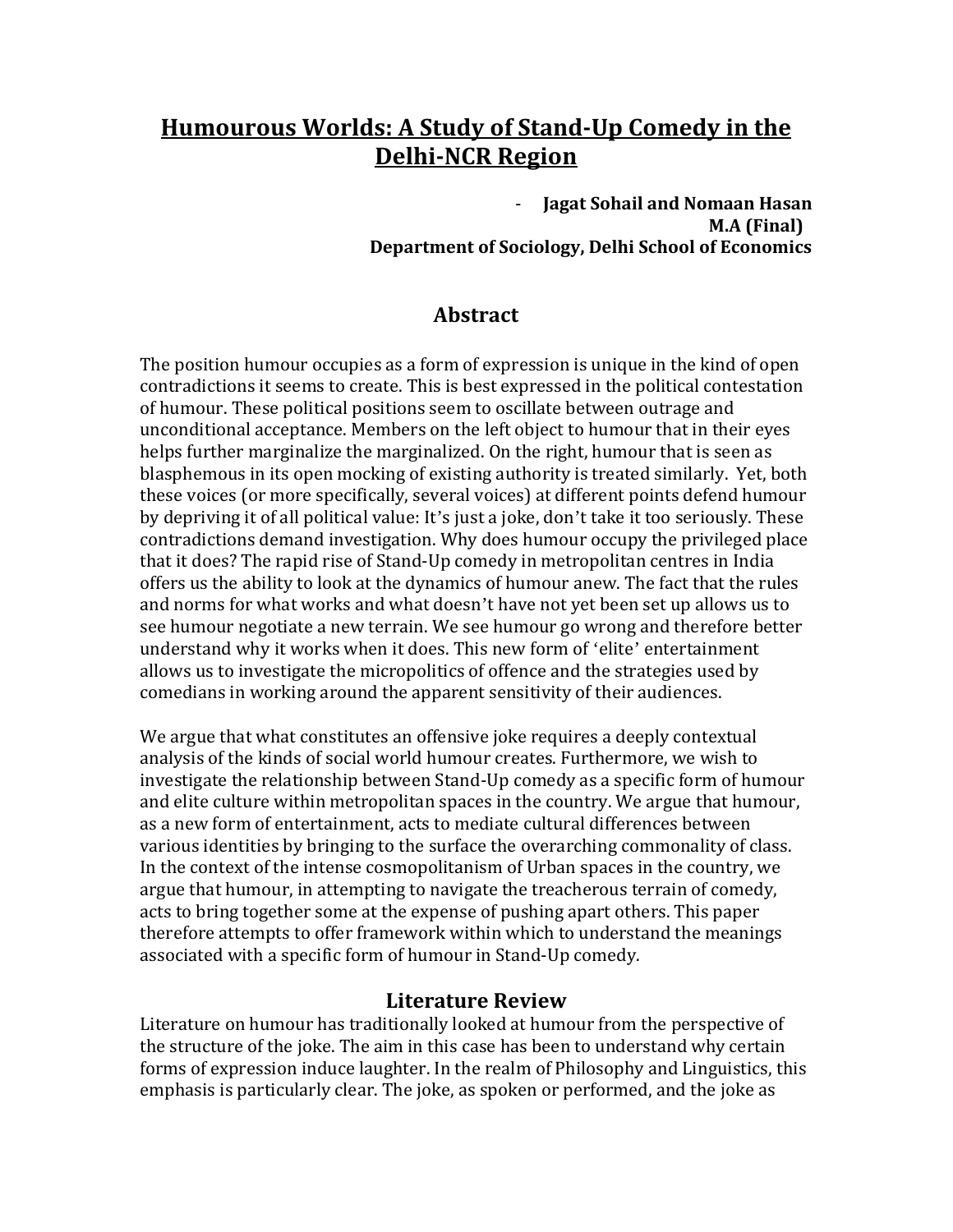# **Humourous Worlds: A Study of Stand-Up Comedy in the Delhi-NCR Region**

- **Jagat Sohail and Nomaan Hasan M.A (Final) Department of Sociology, Delhi School of Economics**

## **Abstract**

The position humour occupies as a form of expression is unique in the kind of open contradictions it seems to create. This is best expressed in the political contestation of humour. These political positions seem to oscillate between outrage and unconditional acceptance. Members on the left object to humour that in their eyes helps further marginalize the marginalized. On the right, humour that is seen as blasphemous in its open mocking of existing authority is treated similarly. Yet, both these voices (or more specifically, several voices) at different points defend humour by depriving it of all political value: It's just a joke, don't take it too seriously. These contradictions demand investigation. Why does humour occupy the privileged place that it does? The rapid rise of Stand-Up comedy in metropolitan centres in India offers us the ability to look at the dynamics of humour anew. The fact that the rules and norms for what works and what doesn't have not yet been set up allows us to see humour negotiate a new terrain. We see humour go wrong and therefore better understand why it works when it does. This new form of 'elite' entertainment allows us to investigate the micropolitics of offence and the strategies used by comedians in working around the apparent sensitivity of their audiences.

We argue that what constitutes an offensive joke requires a deeply contextual analysis of the kinds of social world humour creates. Furthermore, we wish to investigate the relationship between Stand-Up comedy as a specific form of humour and elite culture within metropolitan spaces in the country. We argue that humour, as a new form of entertainment, acts to mediate cultural differences between various identities by bringing to the surface the overarching commonality of class. In the context of the intense cosmopolitanism of Urban spaces in the country, we argue that humour, in attempting to navigate the treacherous terrain of comedy, acts to bring together some at the expense of pushing apart others. This paper therefore attempts to offer framework within which to understand the meanings associated with a specific form of humour in Stand-Up comedy.

### **Literature Review**

Literature on humour has traditionally looked at humour from the perspective of the structure of the joke. The aim in this case has been to understand why certain forms of expression induce laughter. In the realm of Philosophy and Linguistics, this emphasis is particularly clear. The joke, as spoken or performed, and the joke as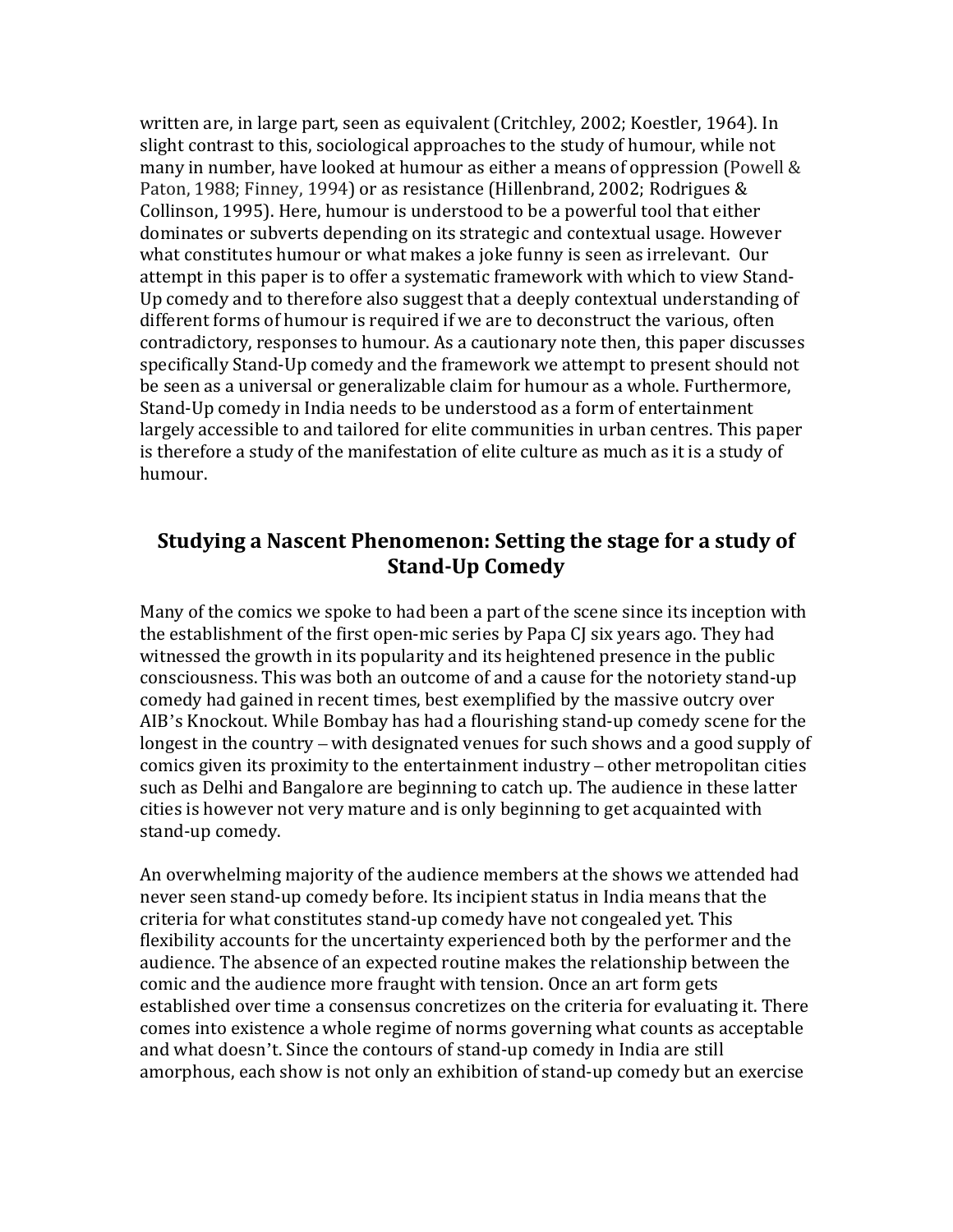written are, in large part, seen as equivalent (Critchley, 2002; Koestler, 1964). In slight contrast to this, sociological approaches to the study of humour, while not many in number, have looked at humour as either a means of oppression (Powell & Paton, 1988; Finney, 1994) or as resistance (Hillenbrand, 2002; Rodrigues & Collinson, 1995). Here, humour is understood to be a powerful tool that either dominates or subverts depending on its strategic and contextual usage. However what constitutes humour or what makes a joke funny is seen as irrelevant. Our attempt in this paper is to offer a systematic framework with which to view Stand-Up comedy and to therefore also suggest that a deeply contextual understanding of different forms of humour is required if we are to deconstruct the various, often contradictory, responses to humour. As a cautionary note then, this paper discusses specifically Stand-Up comedy and the framework we attempt to present should not be seen as a universal or generalizable claim for humour as a whole. Furthermore, Stand-Up comedy in India needs to be understood as a form of entertainment largely accessible to and tailored for elite communities in urban centres. This paper is therefore a study of the manifestation of elite culture as much as it is a study of humour.

## **Studying a Nascent Phenomenon: Setting the stage for a study of Stand-Up Comedy**

Many of the comics we spoke to had been a part of the scene since its inception with the establishment of the first open-mic series by Papa CJ six years ago. They had witnessed the growth in its popularity and its heightened presence in the public consciousness. This was both an outcome of and a cause for the notoriety stand-up comedy had gained in recent times, best exemplified by the massive outcry over AIB's Knockout. While Bombay has had a flourishing stand-up comedy scene for the longest in the country – with designated venues for such shows and a good supply of comics given its proximity to the entertainment industry – other metropolitan cities such as Delhi and Bangalore are beginning to catch up. The audience in these latter cities is however not very mature and is only beginning to get acquainted with stand-up comedy.

An overwhelming majority of the audience members at the shows we attended had never seen stand-up comedy before. Its incipient status in India means that the criteria for what constitutes stand-up comedy have not congealed yet. This flexibility accounts for the uncertainty experienced both by the performer and the audience. The absence of an expected routine makes the relationship between the comic and the audience more fraught with tension. Once an art form gets established over time a consensus concretizes on the criteria for evaluating it. There comes into existence a whole regime of norms governing what counts as acceptable and what doesn't. Since the contours of stand-up comedy in India are still amorphous, each show is not only an exhibition of stand-up comedy but an exercise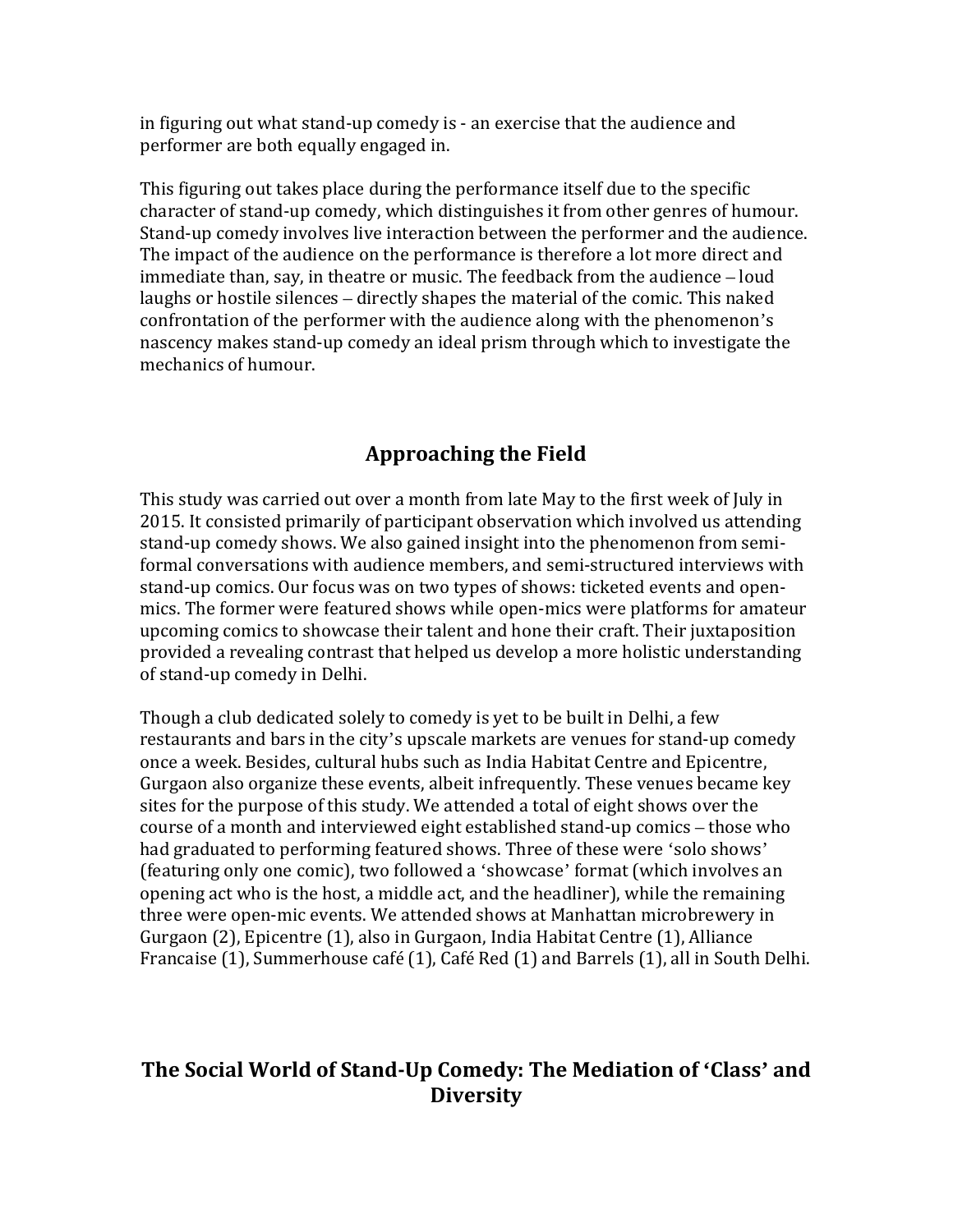in figuring out what stand-up comedy is - an exercise that the audience and performer are both equally engaged in.

This figuring out takes place during the performance itself due to the specific character of stand-up comedy, which distinguishes it from other genres of humour. Stand-up comedy involves live interaction between the performer and the audience. The impact of the audience on the performance is therefore a lot more direct and immediate than, say, in theatre or music. The feedback from the audience – loud laughs or hostile silences – directly shapes the material of the comic. This naked confrontation of the performer with the audience along with the phenomenon's nascency makes stand-up comedy an ideal prism through which to investigate the mechanics of humour.

## **Approaching the Field**

This study was carried out over a month from late May to the first week of July in 2015. It consisted primarily of participant observation which involved us attending stand-up comedy shows. We also gained insight into the phenomenon from semiformal conversations with audience members, and semi-structured interviews with stand-up comics. Our focus was on two types of shows: ticketed events and openmics. The former were featured shows while open-mics were platforms for amateur upcoming comics to showcase their talent and hone their craft. Their juxtaposition provided a revealing contrast that helped us develop a more holistic understanding of stand-up comedy in Delhi.

Though a club dedicated solely to comedy is yet to be built in Delhi, a few restaurants and bars in the city's upscale markets are venues for stand-up comedy once a week. Besides, cultural hubs such as India Habitat Centre and Epicentre, Gurgaon also organize these events, albeit infrequently. These venues became key sites for the purpose of this study. We attended a total of eight shows over the course of a month and interviewed eight established stand-up comics – those who had graduated to performing featured shows. Three of these were 'solo shows' (featuring only one comic), two followed a 'showcase' format (which involves an opening act who is the host, a middle act, and the headliner), while the remaining three were open-mic events. We attended shows at Manhattan microbrewery in Gurgaon (2), Epicentre (1), also in Gurgaon, India Habitat Centre (1), Alliance Francaise (1), Summerhouse café (1), Café Red (1) and Barrels (1), all in South Delhi.

## **The Social World of Stand-Up Comedy: The Mediation of 'Class' and Diversity**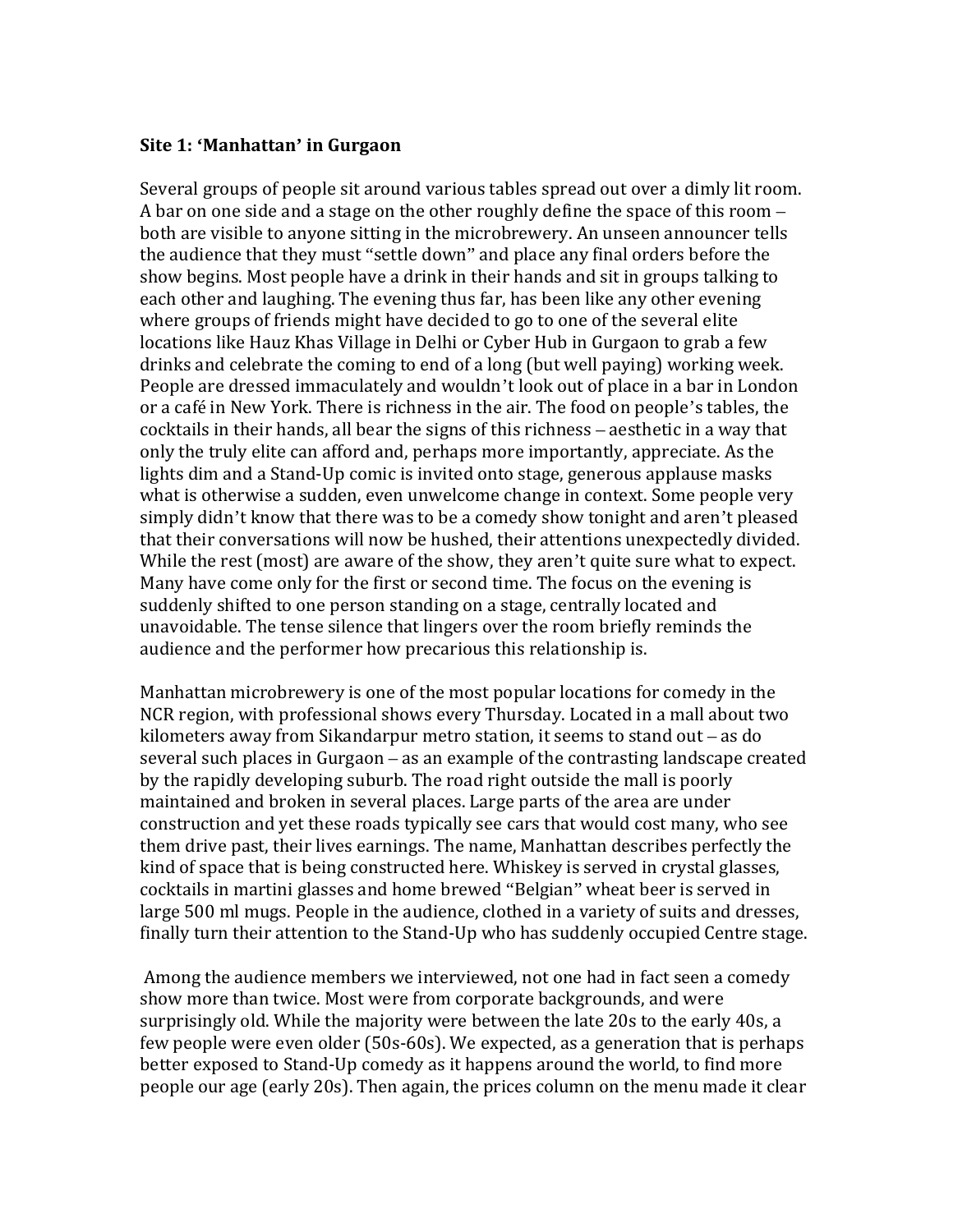#### **Site 1: 'Manhattan' in Gurgaon**

Several groups of people sit around various tables spread out over a dimly lit room. A bar on one side and a stage on the other roughly define the space of this room – both are visible to anyone sitting in the microbrewery. An unseen announcer tells the audience that they must "settle down" and place any final orders before the show begins. Most people have a drink in their hands and sit in groups talking to each other and laughing. The evening thus far, has been like any other evening where groups of friends might have decided to go to one of the several elite locations like Hauz Khas Village in Delhi or Cyber Hub in Gurgaon to grab a few drinks and celebrate the coming to end of a long (but well paying) working week. People are dressed immaculately and wouldn't look out of place in a bar in London or a café in New York. There is richness in the air. The food on people's tables, the cocktails in their hands, all bear the signs of this richness – aesthetic in a way that only the truly elite can afford and, perhaps more importantly, appreciate. As the lights dim and a Stand-Up comic is invited onto stage, generous applause masks what is otherwise a sudden, even unwelcome change in context. Some people very simply didn't know that there was to be a comedy show tonight and aren't pleased that their conversations will now be hushed, their attentions unexpectedly divided. While the rest (most) are aware of the show, they aren't quite sure what to expect. Many have come only for the first or second time. The focus on the evening is suddenly shifted to one person standing on a stage, centrally located and unavoidable. The tense silence that lingers over the room briefly reminds the audience and the performer how precarious this relationship is.

Manhattan microbrewery is one of the most popular locations for comedy in the NCR region, with professional shows every Thursday. Located in a mall about two kilometers away from Sikandarpur metro station, it seems to stand out – as do several such places in Gurgaon – as an example of the contrasting landscape created by the rapidly developing suburb. The road right outside the mall is poorly maintained and broken in several places. Large parts of the area are under construction and yet these roads typically see cars that would cost many, who see them drive past, their lives earnings. The name, Manhattan describes perfectly the kind of space that is being constructed here. Whiskey is served in crystal glasses, cocktails in martini glasses and home brewed "Belgian" wheat beer is served in large 500 ml mugs. People in the audience, clothed in a variety of suits and dresses, finally turn their attention to the Stand-Up who has suddenly occupied Centre stage.

Among the audience members we interviewed, not one had in fact seen a comedy show more than twice. Most were from corporate backgrounds, and were surprisingly old. While the majority were between the late 20s to the early 40s, a few people were even older (50s-60s). We expected, as a generation that is perhaps better exposed to Stand-Up comedy as it happens around the world, to find more people our age (early 20s). Then again, the prices column on the menu made it clear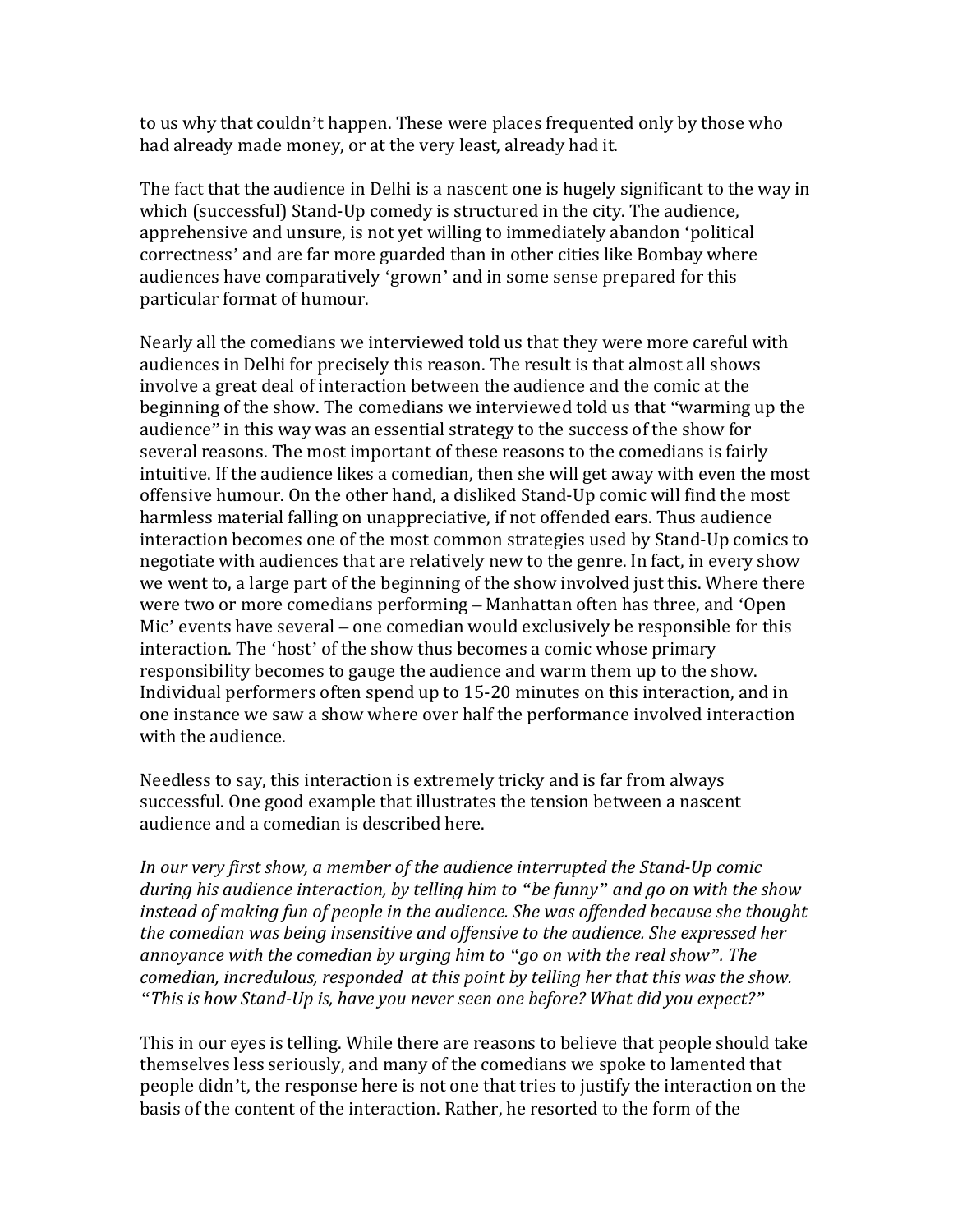to us why that couldn't happen. These were places frequented only by those who had already made money, or at the very least, already had it.

The fact that the audience in Delhi is a nascent one is hugely significant to the way in which (successful) Stand-Up comedy is structured in the city. The audience, apprehensive and unsure, is not yet willing to immediately abandon 'political correctness' and are far more guarded than in other cities like Bombay where audiences have comparatively 'grown' and in some sense prepared for this particular format of humour.

Nearly all the comedians we interviewed told us that they were more careful with audiences in Delhi for precisely this reason. The result is that almost all shows involve a great deal of interaction between the audience and the comic at the beginning of the show. The comedians we interviewed told us that "warming up the audience" in this way was an essential strategy to the success of the show for several reasons. The most important of these reasons to the comedians is fairly intuitive. If the audience likes a comedian, then she will get away with even the most offensive humour. On the other hand, a disliked Stand-Up comic will find the most harmless material falling on unappreciative, if not offended ears. Thus audience interaction becomes one of the most common strategies used by Stand-Up comics to negotiate with audiences that are relatively new to the genre. In fact, in every show we went to, a large part of the beginning of the show involved just this. Where there were two or more comedians performing – Manhattan often has three, and 'Open Mic' events have several – one comedian would exclusively be responsible for this interaction. The 'host' of the show thus becomes a comic whose primary responsibility becomes to gauge the audience and warm them up to the show. Individual performers often spend up to 15-20 minutes on this interaction, and in one instance we saw a show where over half the performance involved interaction with the audience.

Needless to say, this interaction is extremely tricky and is far from always successful. One good example that illustrates the tension between a nascent audience and a comedian is described here.

*In our very first show, a member of the audience interrupted the Stand-Up comic during his audience interaction, by telling him to "be funny" and go on with the show instead of making fun of people in the audience. She was offended because she thought the comedian was being insensitive and offensive to the audience. She expressed her annoyance with the comedian by urging him to "go on with the real show". The comedian, incredulous, responded at this point by telling her that this was the show. "This is how Stand-Up is, have you never seen one before? What did you expect?"*

This in our eyes is telling. While there are reasons to believe that people should take themselves less seriously, and many of the comedians we spoke to lamented that people didn't, the response here is not one that tries to justify the interaction on the basis of the content of the interaction. Rather, he resorted to the form of the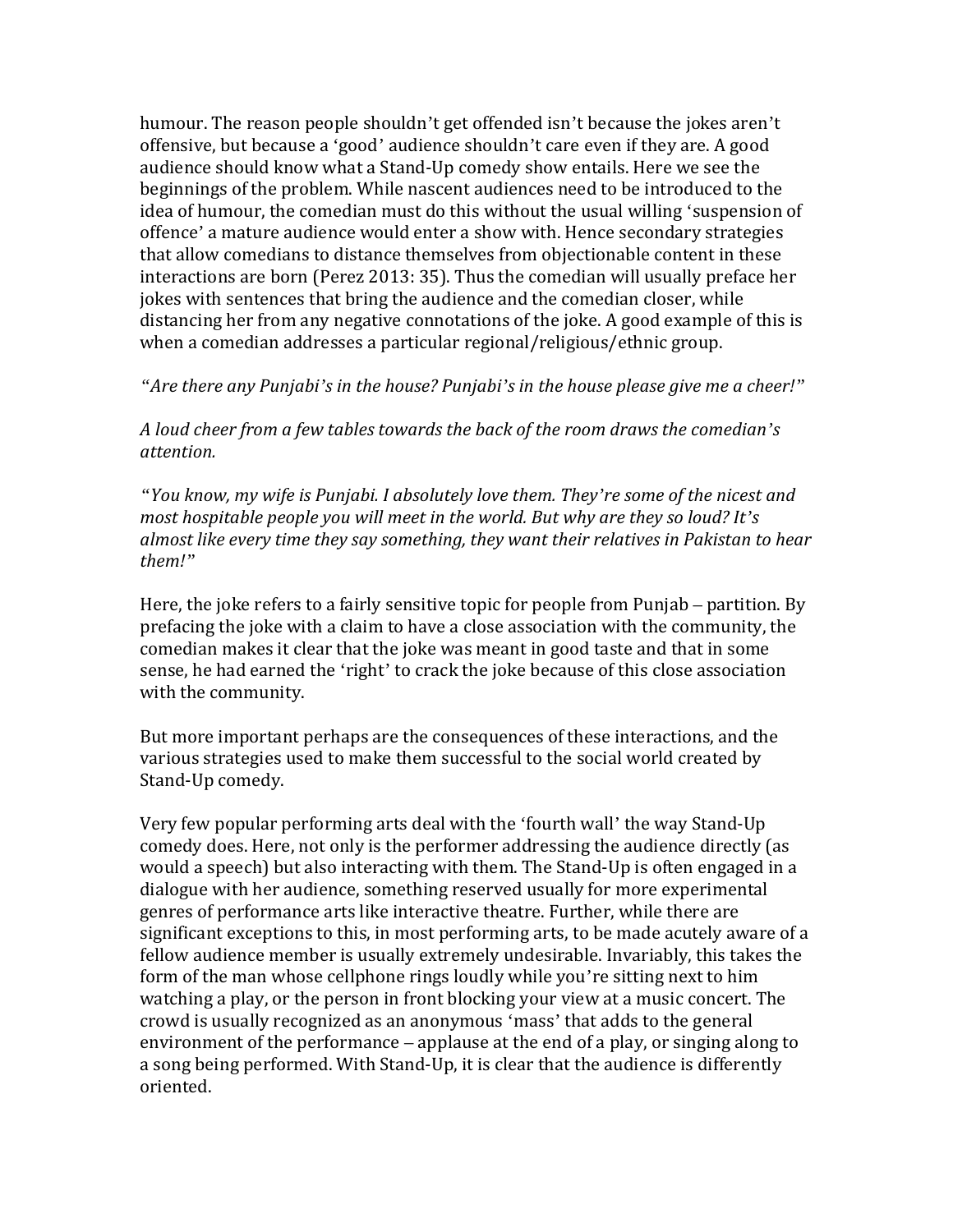humour. The reason people shouldn't get offended isn't because the jokes aren't offensive, but because a 'good' audience shouldn't care even if they are. A good audience should know what a Stand-Up comedy show entails. Here we see the beginnings of the problem. While nascent audiences need to be introduced to the idea of humour, the comedian must do this without the usual willing 'suspension of offence' a mature audience would enter a show with. Hence secondary strategies that allow comedians to distance themselves from objectionable content in these interactions are born (Perez 2013: 35). Thus the comedian will usually preface her jokes with sentences that bring the audience and the comedian closer, while distancing her from any negative connotations of the joke. A good example of this is when a comedian addresses a particular regional/religious/ethnic group.

#### *"Are there any Punjabi's in the house? Punjabi's in the house please give me a cheer!"*

*A loud cheer from a few tables towards the back of the room draws the comedian's attention.* 

*"You know, my wife is Punjabi. I absolutely love them. They're some of the nicest and most hospitable people you will meet in the world. But why are they so loud? It's almost like every time they say something, they want their relatives in Pakistan to hear them!"*

Here, the joke refers to a fairly sensitive topic for people from Punjab – partition. By prefacing the joke with a claim to have a close association with the community, the comedian makes it clear that the joke was meant in good taste and that in some sense, he had earned the 'right' to crack the joke because of this close association with the community.

But more important perhaps are the consequences of these interactions, and the various strategies used to make them successful to the social world created by Stand-Up comedy.

Very few popular performing arts deal with the 'fourth wall' the way Stand-Up comedy does. Here, not only is the performer addressing the audience directly (as would a speech) but also interacting with them. The Stand-Up is often engaged in a dialogue with her audience, something reserved usually for more experimental genres of performance arts like interactive theatre. Further, while there are significant exceptions to this, in most performing arts, to be made acutely aware of a fellow audience member is usually extremely undesirable. Invariably, this takes the form of the man whose cellphone rings loudly while you're sitting next to him watching a play, or the person in front blocking your view at a music concert. The crowd is usually recognized as an anonymous 'mass' that adds to the general environment of the performance – applause at the end of a play, or singing along to a song being performed. With Stand-Up, it is clear that the audience is differently oriented.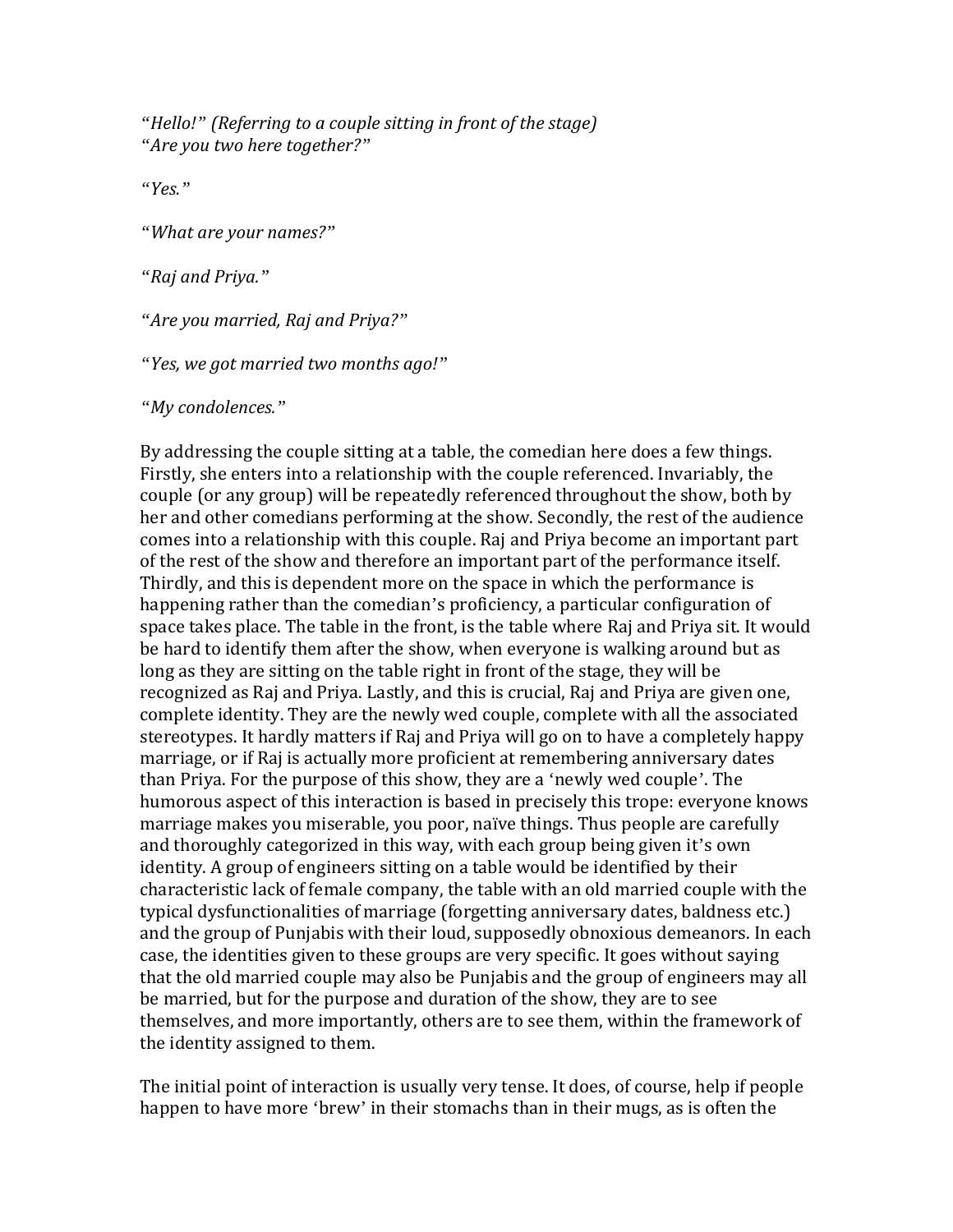*"Hello!" (Referring to a couple sitting in front of the stage) "Are you two here together?"*

*"Yes."*

*"What are your names?"*

*"Raj and Priya."*

*"Are you married, Raj and Priya?"*

*"Yes, we got married two months ago!"*

*"My condolences."*

By addressing the couple sitting at a table, the comedian here does a few things. Firstly, she enters into a relationship with the couple referenced. Invariably, the couple (or any group) will be repeatedly referenced throughout the show, both by her and other comedians performing at the show. Secondly, the rest of the audience comes into a relationship with this couple. Raj and Priya become an important part of the rest of the show and therefore an important part of the performance itself. Thirdly, and this is dependent more on the space in which the performance is happening rather than the comedian's proficiency, a particular configuration of space takes place. The table in the front, is the table where Raj and Priya sit. It would be hard to identify them after the show, when everyone is walking around but as long as they are sitting on the table right in front of the stage, they will be recognized as Raj and Priya. Lastly, and this is crucial, Raj and Priya are given one, complete identity. They are the newly wed couple, complete with all the associated stereotypes. It hardly matters if Raj and Priya will go on to have a completely happy marriage, or if Raj is actually more proficient at remembering anniversary dates than Priya. For the purpose of this show, they are a 'newly wed couple'. The humorous aspect of this interaction is based in precisely this trope: everyone knows marriage makes you miserable, you poor, naïve things. Thus people are carefully and thoroughly categorized in this way, with each group being given it's own identity. A group of engineers sitting on a table would be identified by their characteristic lack of female company, the table with an old married couple with the typical dysfunctionalities of marriage (forgetting anniversary dates, baldness etc.) and the group of Punjabis with their loud, supposedly obnoxious demeanors. In each case, the identities given to these groups are very specific. It goes without saying that the old married couple may also be Punjabis and the group of engineers may all be married, but for the purpose and duration of the show, they are to see themselves, and more importantly, others are to see them, within the framework of the identity assigned to them.

The initial point of interaction is usually very tense. It does, of course, help if people happen to have more 'brew' in their stomachs than in their mugs, as is often the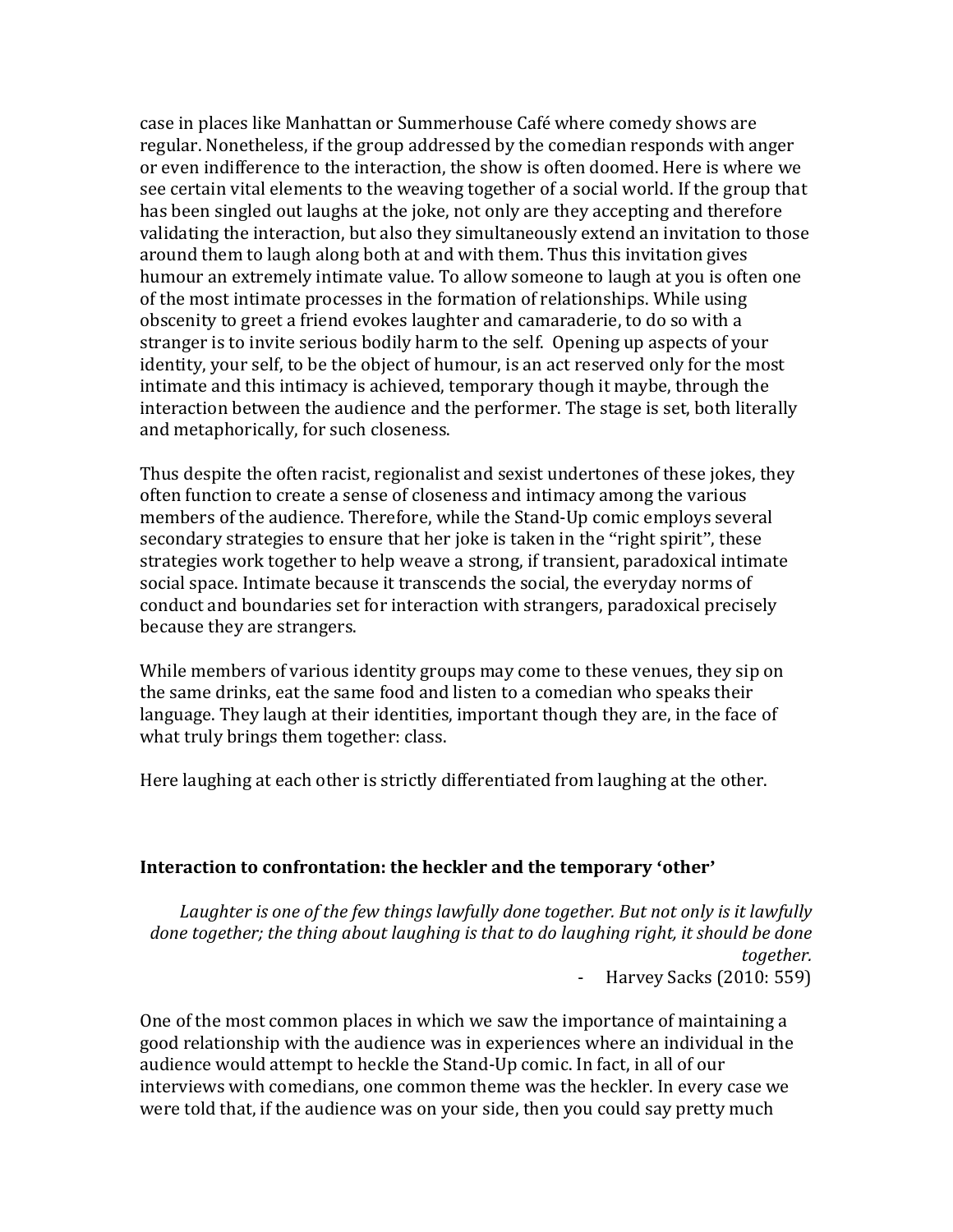case in places like Manhattan or Summerhouse Café where comedy shows are regular. Nonetheless, if the group addressed by the comedian responds with anger or even indifference to the interaction, the show is often doomed. Here is where we see certain vital elements to the weaving together of a social world. If the group that has been singled out laughs at the joke, not only are they accepting and therefore validating the interaction, but also they simultaneously extend an invitation to those around them to laugh along both at and with them. Thus this invitation gives humour an extremely intimate value. To allow someone to laugh at you is often one of the most intimate processes in the formation of relationships. While using obscenity to greet a friend evokes laughter and camaraderie, to do so with a stranger is to invite serious bodily harm to the self. Opening up aspects of your identity, your self, to be the object of humour, is an act reserved only for the most intimate and this intimacy is achieved, temporary though it maybe, through the interaction between the audience and the performer. The stage is set, both literally and metaphorically, for such closeness.

Thus despite the often racist, regionalist and sexist undertones of these jokes, they often function to create a sense of closeness and intimacy among the various members of the audience. Therefore, while the Stand-Up comic employs several secondary strategies to ensure that her joke is taken in the "right spirit", these strategies work together to help weave a strong, if transient, paradoxical intimate social space. Intimate because it transcends the social, the everyday norms of conduct and boundaries set for interaction with strangers, paradoxical precisely because they are strangers.

While members of various identity groups may come to these venues, they sip on the same drinks, eat the same food and listen to a comedian who speaks their language. They laugh at their identities, important though they are, in the face of what truly brings them together: class.

Here laughing at each other is strictly differentiated from laughing at the other.

#### **Interaction to confrontation: the heckler and the temporary 'other'**

*Laughter is one of the few things lawfully done together. But not only is it lawfully done together; the thing about laughing is that to do laughing right, it should be done together.*  - Harvey Sacks (2010: 559)

One of the most common places in which we saw the importance of maintaining a good relationship with the audience was in experiences where an individual in the audience would attempt to heckle the Stand-Up comic. In fact, in all of our interviews with comedians, one common theme was the heckler. In every case we were told that, if the audience was on your side, then you could say pretty much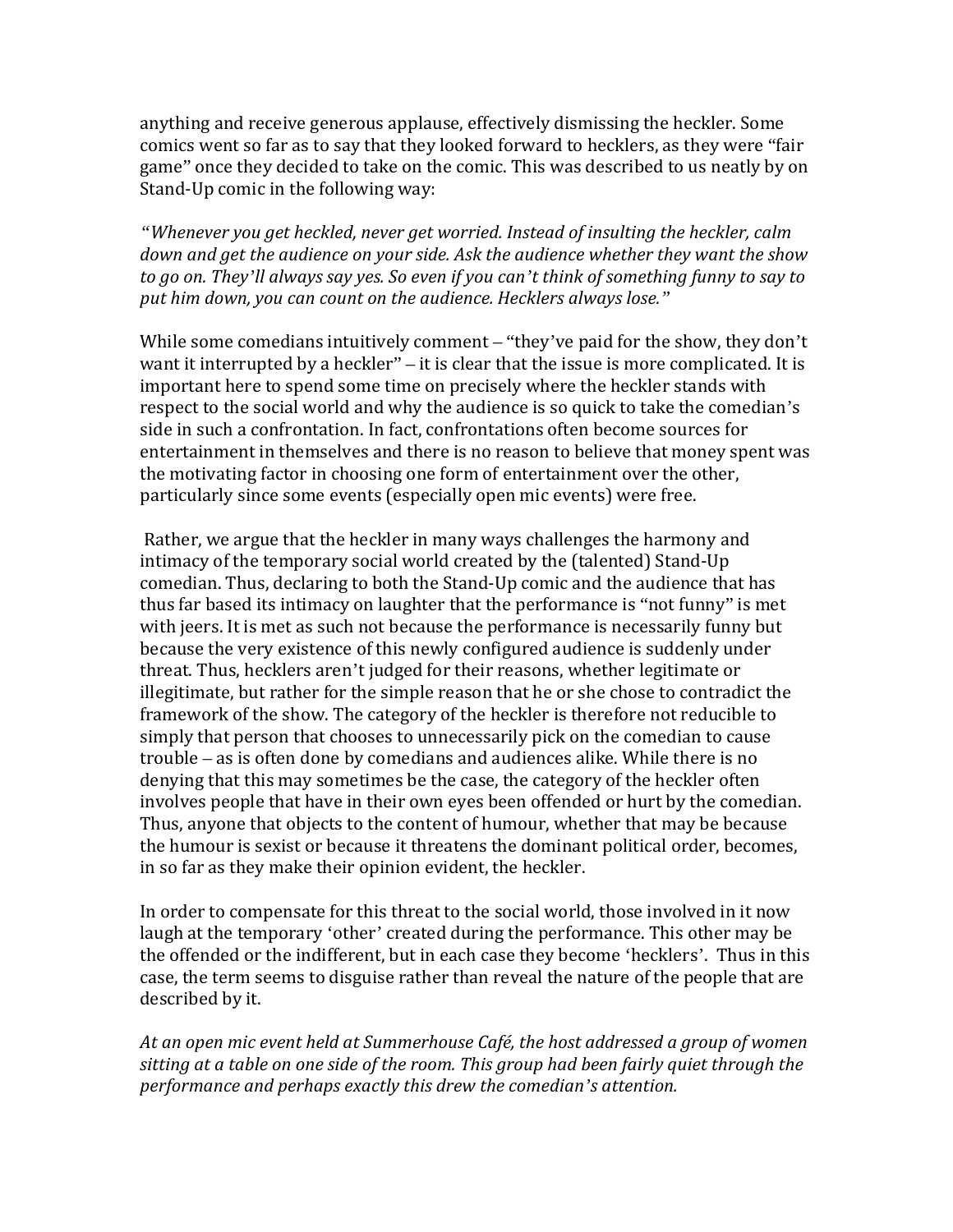anything and receive generous applause, effectively dismissing the heckler. Some comics went so far as to say that they looked forward to hecklers, as they were "fair game" once they decided to take on the comic. This was described to us neatly by on Stand-Up comic in the following way:

*"Whenever you get heckled, never get worried. Instead of insulting the heckler, calm down and get the audience on your side. Ask the audience whether they want the show to go on. They'll always say yes. So even if you can't think of something funny to say to put him down, you can count on the audience. Hecklers always lose."*

While some comedians intuitively comment – "they've paid for the show, they don't want it interrupted by a heckler" – it is clear that the issue is more complicated. It is important here to spend some time on precisely where the heckler stands with respect to the social world and why the audience is so quick to take the comedian's side in such a confrontation. In fact, confrontations often become sources for entertainment in themselves and there is no reason to believe that money spent was the motivating factor in choosing one form of entertainment over the other, particularly since some events (especially open mic events) were free.

Rather, we argue that the heckler in many ways challenges the harmony and intimacy of the temporary social world created by the (talented) Stand-Up comedian. Thus, declaring to both the Stand-Up comic and the audience that has thus far based its intimacy on laughter that the performance is "not funny" is met with jeers. It is met as such not because the performance is necessarily funny but because the very existence of this newly configured audience is suddenly under threat. Thus, hecklers aren't judged for their reasons, whether legitimate or illegitimate, but rather for the simple reason that he or she chose to contradict the framework of the show. The category of the heckler is therefore not reducible to simply that person that chooses to unnecessarily pick on the comedian to cause trouble – as is often done by comedians and audiences alike. While there is no denying that this may sometimes be the case, the category of the heckler often involves people that have in their own eyes been offended or hurt by the comedian. Thus, anyone that objects to the content of humour, whether that may be because the humour is sexist or because it threatens the dominant political order, becomes, in so far as they make their opinion evident, the heckler.

In order to compensate for this threat to the social world, those involved in it now laugh at the temporary 'other' created during the performance. This other may be the offended or the indifferent, but in each case they become 'hecklers'. Thus in this case, the term seems to disguise rather than reveal the nature of the people that are described by it.

*At an open mic event held at Summerhouse Café, the host addressed a group of women sitting at a table on one side of the room. This group had been fairly quiet through the performance and perhaps exactly this drew the comedian's attention.*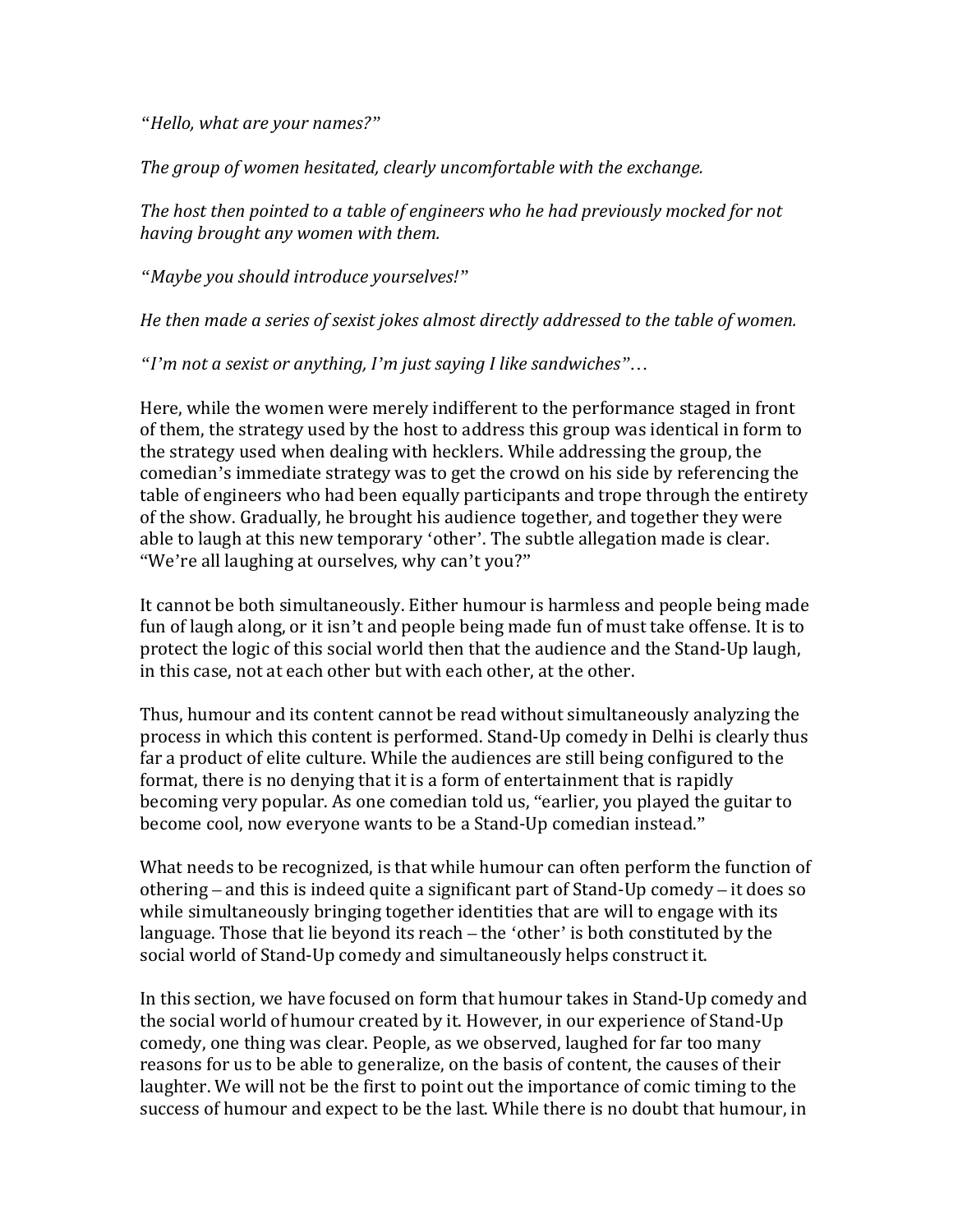*"Hello, what are your names?"*

*The group of women hesitated, clearly uncomfortable with the exchange.*

*The host then pointed to a table of engineers who he had previously mocked for not having brought any women with them.*

*"Maybe you should introduce yourselves!"*

*He then made a series of sexist jokes almost directly addressed to the table of women.*

*"I'm not a sexist or anything, I'm just saying I like sandwiches"…*

Here, while the women were merely indifferent to the performance staged in front of them, the strategy used by the host to address this group was identical in form to the strategy used when dealing with hecklers. While addressing the group, the comedian's immediate strategy was to get the crowd on his side by referencing the table of engineers who had been equally participants and trope through the entirety of the show. Gradually, he brought his audience together, and together they were able to laugh at this new temporary 'other'. The subtle allegation made is clear. "We're all laughing at ourselves, why can't you?"

It cannot be both simultaneously. Either humour is harmless and people being made fun of laugh along, or it isn't and people being made fun of must take offense. It is to protect the logic of this social world then that the audience and the Stand-Up laugh, in this case, not at each other but with each other, at the other.

Thus, humour and its content cannot be read without simultaneously analyzing the process in which this content is performed. Stand-Up comedy in Delhi is clearly thus far a product of elite culture. While the audiences are still being configured to the format, there is no denying that it is a form of entertainment that is rapidly becoming very popular. As one comedian told us, "earlier, you played the guitar to become cool, now everyone wants to be a Stand-Up comedian instead."

What needs to be recognized, is that while humour can often perform the function of othering – and this is indeed quite a significant part of Stand-Up comedy – it does so while simultaneously bringing together identities that are will to engage with its language. Those that lie beyond its reach – the 'other' is both constituted by the social world of Stand-Up comedy and simultaneously helps construct it.

In this section, we have focused on form that humour takes in Stand-Up comedy and the social world of humour created by it. However, in our experience of Stand-Up comedy, one thing was clear. People, as we observed, laughed for far too many reasons for us to be able to generalize, on the basis of content, the causes of their laughter. We will not be the first to point out the importance of comic timing to the success of humour and expect to be the last. While there is no doubt that humour, in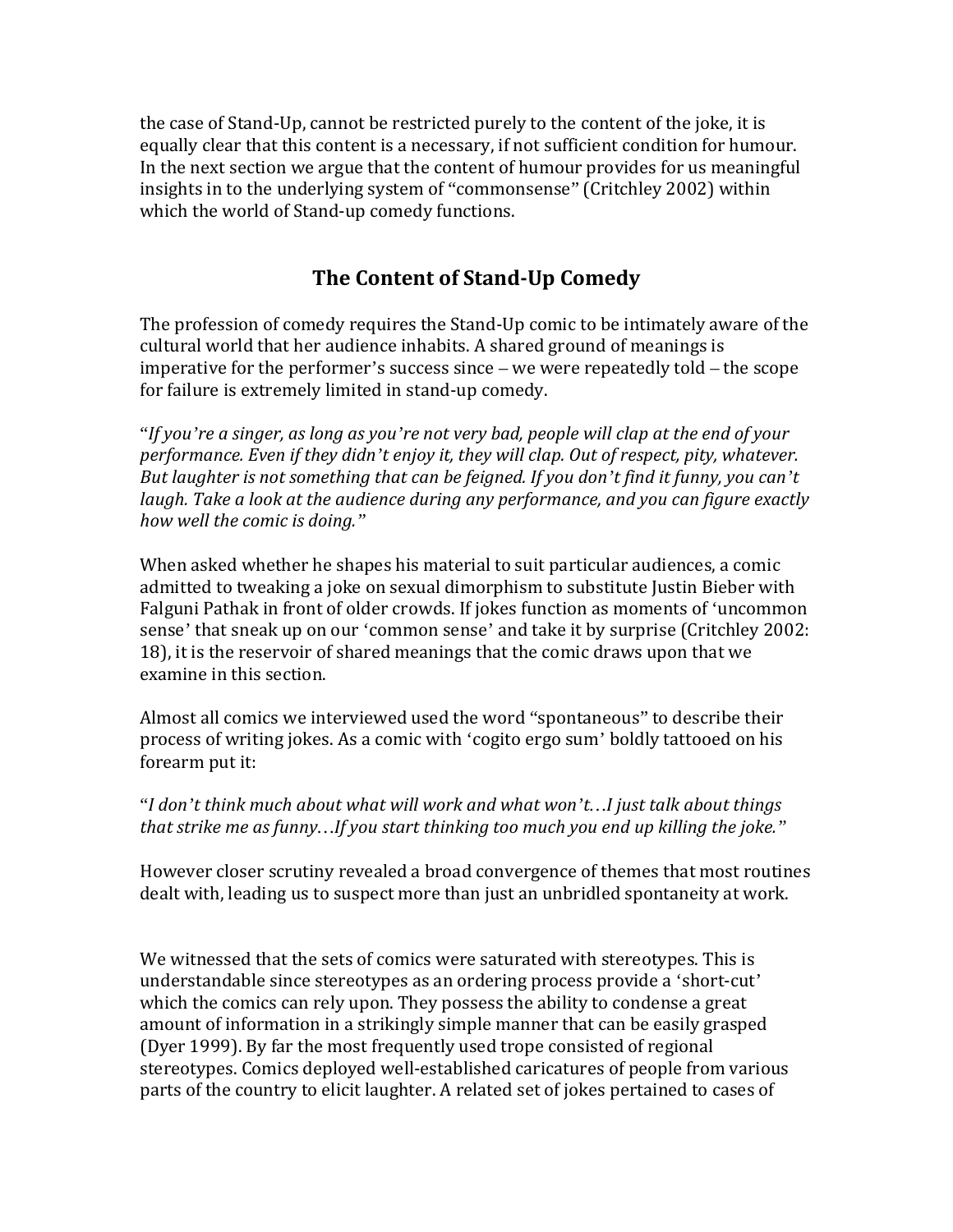the case of Stand-Up, cannot be restricted purely to the content of the joke, it is equally clear that this content is a necessary, if not sufficient condition for humour. In the next section we argue that the content of humour provides for us meaningful insights in to the underlying system of "commonsense" (Critchley 2002) within which the world of Stand-up comedy functions.

## **The Content of Stand-Up Comedy**

The profession of comedy requires the Stand-Up comic to be intimately aware of the cultural world that her audience inhabits. A shared ground of meanings is imperative for the performer's success since – we were repeatedly told – the scope for failure is extremely limited in stand-up comedy.

"*If you're a singer, as long as you're not very bad, people will clap at the end of your performance. Even if they didn't enjoy it, they will clap. Out of respect, pity, whatever. But laughter is not something that can be feigned. If you don't find it funny, you can't laugh. Take a look at the audience during any performance, and you can figure exactly how well the comic is doing."*

When asked whether he shapes his material to suit particular audiences, a comic admitted to tweaking a joke on sexual dimorphism to substitute Justin Bieber with Falguni Pathak in front of older crowds. If jokes function as moments of 'uncommon sense' that sneak up on our 'common sense' and take it by surprise (Critchley 2002: 18), it is the reservoir of shared meanings that the comic draws upon that we examine in this section.

Almost all comics we interviewed used the word "spontaneous" to describe their process of writing jokes. As a comic with 'cogito ergo sum' boldly tattooed on his forearm put it:

"*I don't think much about what will work and what won't…I just talk about things that strike me as funny…If you start thinking too much you end up killing the joke."*

However closer scrutiny revealed a broad convergence of themes that most routines dealt with, leading us to suspect more than just an unbridled spontaneity at work.

We witnessed that the sets of comics were saturated with stereotypes. This is understandable since stereotypes as an ordering process provide a 'short-cut' which the comics can rely upon. They possess the ability to condense a great amount of information in a strikingly simple manner that can be easily grasped (Dyer 1999). By far the most frequently used trope consisted of regional stereotypes. Comics deployed well-established caricatures of people from various parts of the country to elicit laughter. A related set of jokes pertained to cases of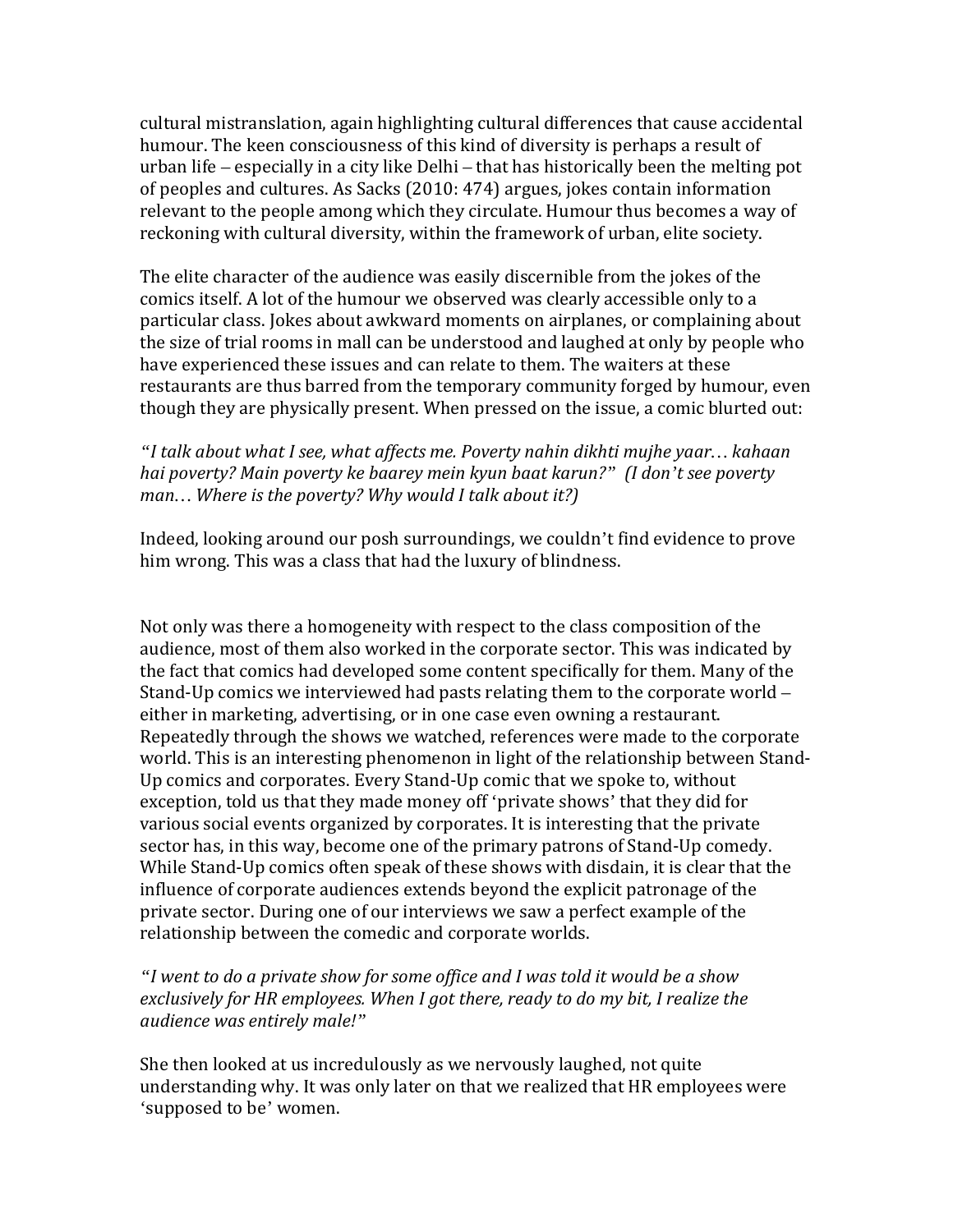cultural mistranslation, again highlighting cultural differences that cause accidental humour. The keen consciousness of this kind of diversity is perhaps a result of urban life – especially in a city like Delhi – that has historically been the melting pot of peoples and cultures. As Sacks (2010: 474) argues, jokes contain information relevant to the people among which they circulate. Humour thus becomes a way of reckoning with cultural diversity, within the framework of urban, elite society.

The elite character of the audience was easily discernible from the jokes of the comics itself. A lot of the humour we observed was clearly accessible only to a particular class. Jokes about awkward moments on airplanes, or complaining about the size of trial rooms in mall can be understood and laughed at only by people who have experienced these issues and can relate to them. The waiters at these restaurants are thus barred from the temporary community forged by humour, even though they are physically present. When pressed on the issue, a comic blurted out:

*"I talk about what I see, what affects me. Poverty nahin dikhti mujhe yaar… kahaan hai poverty? Main poverty ke baarey mein kyun baat karun?" (I don't see poverty man… Where is the poverty? Why would I talk about it?)*

Indeed, looking around our posh surroundings, we couldn't find evidence to prove him wrong. This was a class that had the luxury of blindness.

Not only was there a homogeneity with respect to the class composition of the audience, most of them also worked in the corporate sector. This was indicated by the fact that comics had developed some content specifically for them. Many of the Stand-Up comics we interviewed had pasts relating them to the corporate world – either in marketing, advertising, or in one case even owning a restaurant. Repeatedly through the shows we watched, references were made to the corporate world. This is an interesting phenomenon in light of the relationship between Stand-Up comics and corporates. Every Stand-Up comic that we spoke to, without exception, told us that they made money off 'private shows' that they did for various social events organized by corporates. It is interesting that the private sector has, in this way, become one of the primary patrons of Stand-Up comedy. While Stand-Up comics often speak of these shows with disdain, it is clear that the influence of corporate audiences extends beyond the explicit patronage of the private sector. During one of our interviews we saw a perfect example of the relationship between the comedic and corporate worlds.

*"I went to do a private show for some office and I was told it would be a show exclusively for HR employees. When I got there, ready to do my bit, I realize the audience was entirely male!"*

She then looked at us incredulously as we nervously laughed, not quite understanding why. It was only later on that we realized that HR employees were 'supposed to be' women.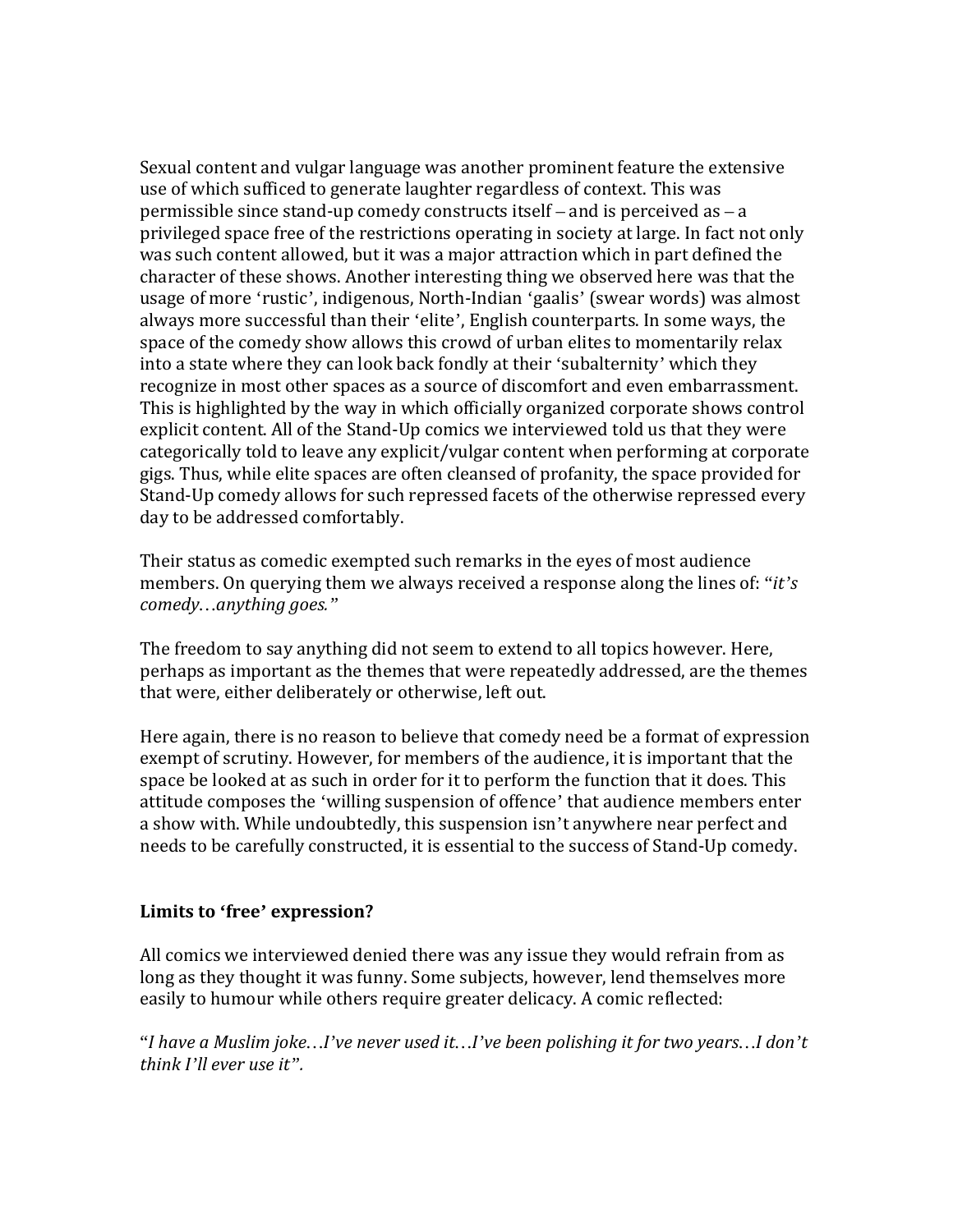Sexual content and vulgar language was another prominent feature the extensive use of which sufficed to generate laughter regardless of context. This was permissible since stand-up comedy constructs itself – and is perceived as – a privileged space free of the restrictions operating in society at large. In fact not only was such content allowed, but it was a major attraction which in part defined the character of these shows. Another interesting thing we observed here was that the usage of more 'rustic', indigenous, North-Indian 'gaalis' (swear words) was almost always more successful than their 'elite', English counterparts. In some ways, the space of the comedy show allows this crowd of urban elites to momentarily relax into a state where they can look back fondly at their 'subalternity' which they recognize in most other spaces as a source of discomfort and even embarrassment. This is highlighted by the way in which officially organized corporate shows control explicit content. All of the Stand-Up comics we interviewed told us that they were categorically told to leave any explicit/vulgar content when performing at corporate gigs. Thus, while elite spaces are often cleansed of profanity, the space provided for Stand-Up comedy allows for such repressed facets of the otherwise repressed every day to be addressed comfortably.

Their status as comedic exempted such remarks in the eyes of most audience members. On querying them we always received a response along the lines of: "*it's comedy…anything goes."*

The freedom to say anything did not seem to extend to all topics however. Here, perhaps as important as the themes that were repeatedly addressed, are the themes that were, either deliberately or otherwise, left out.

Here again, there is no reason to believe that comedy need be a format of expression exempt of scrutiny. However, for members of the audience, it is important that the space be looked at as such in order for it to perform the function that it does. This attitude composes the 'willing suspension of offence' that audience members enter a show with. While undoubtedly, this suspension isn't anywhere near perfect and needs to be carefully constructed, it is essential to the success of Stand-Up comedy.

#### **Limits to 'free' expression?**

All comics we interviewed denied there was any issue they would refrain from as long as they thought it was funny. Some subjects, however, lend themselves more easily to humour while others require greater delicacy. A comic reflected:

"*I have a Muslim joke…I've never used it…I've been polishing it for two years…I don't think I'll ever use it".*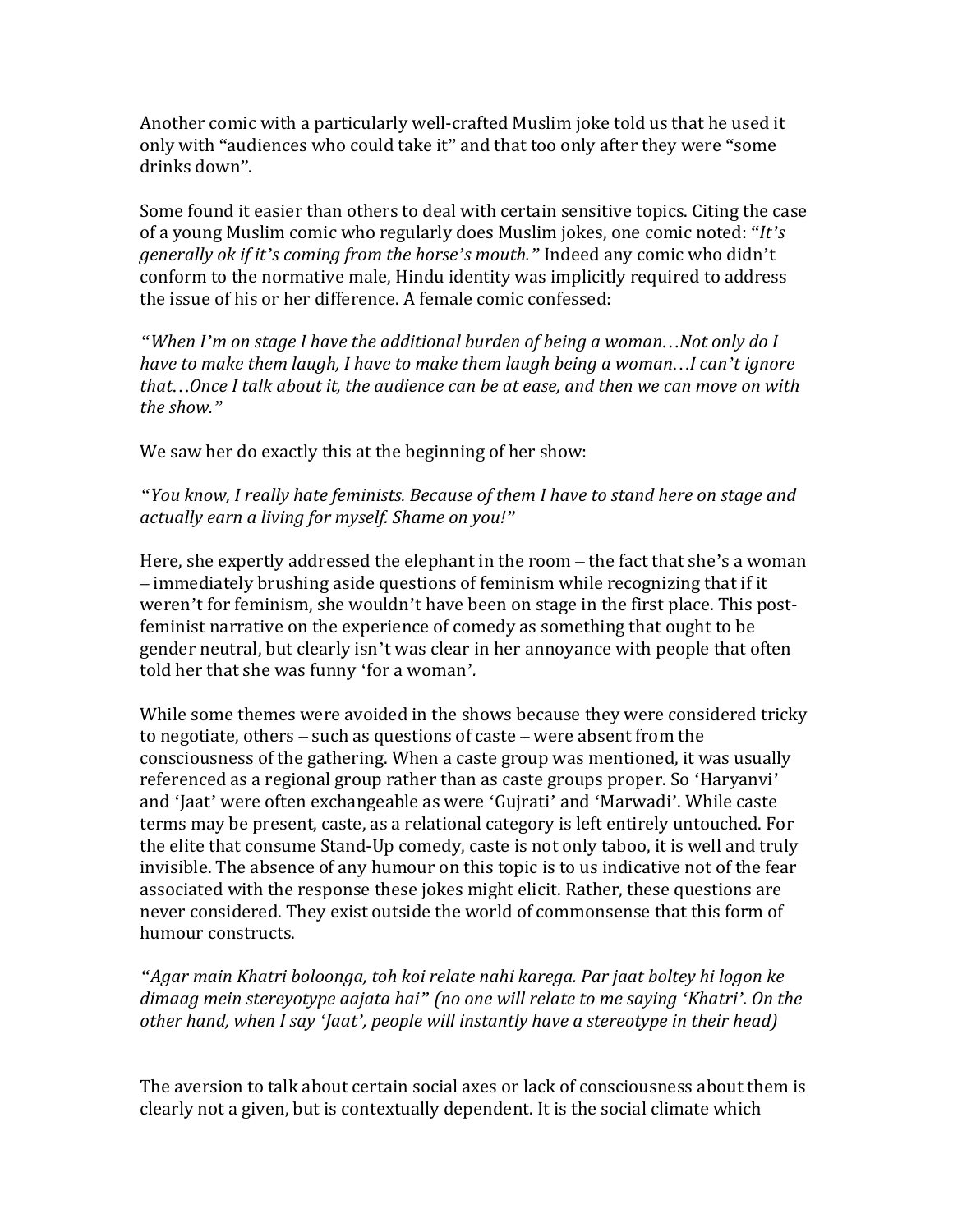Another comic with a particularly well-crafted Muslim joke told us that he used it only with "audiences who could take it" and that too only after they were "some drinks down".

Some found it easier than others to deal with certain sensitive topics. Citing the case of a young Muslim comic who regularly does Muslim jokes, one comic noted: "*It's generally ok if it's coming from the horse's mouth."* Indeed any comic who didn't conform to the normative male, Hindu identity was implicitly required to address the issue of his or her difference. A female comic confessed:

*"When I'm on stage I have the additional burden of being a woman…Not only do I have to make them laugh, I have to make them laugh being a woman…I can't ignore that…Once I talk about it, the audience can be at ease, and then we can move on with the show."*

We saw her do exactly this at the beginning of her show:

*"You know, I really hate feminists. Because of them I have to stand here on stage and actually earn a living for myself. Shame on you!"*

Here, she expertly addressed the elephant in the room – the fact that she's a woman – immediately brushing aside questions of feminism while recognizing that if it weren't for feminism, she wouldn't have been on stage in the first place. This postfeminist narrative on the experience of comedy as something that ought to be gender neutral, but clearly isn't was clear in her annoyance with people that often told her that she was funny 'for a woman'*.* 

While some themes were avoided in the shows because they were considered tricky to negotiate, others – such as questions of caste – were absent from the consciousness of the gathering. When a caste group was mentioned, it was usually referenced as a regional group rather than as caste groups proper. So 'Haryanvi' and 'Jaat' were often exchangeable as were 'Gujrati' and 'Marwadi'. While caste terms may be present, caste, as a relational category is left entirely untouched. For the elite that consume Stand-Up comedy, caste is not only taboo, it is well and truly invisible. The absence of any humour on this topic is to us indicative not of the fear associated with the response these jokes might elicit. Rather, these questions are never considered. They exist outside the world of commonsense that this form of humour constructs.

*"Agar main Khatri boloonga, toh koi relate nahi karega. Par jaat boltey hi logon ke dimaag mein stereyotype aajata hai" (no one will relate to me saying 'Khatri'. On the other hand, when I say 'Jaat', people will instantly have a stereotype in their head)*

The aversion to talk about certain social axes or lack of consciousness about them is clearly not a given, but is contextually dependent. It is the social climate which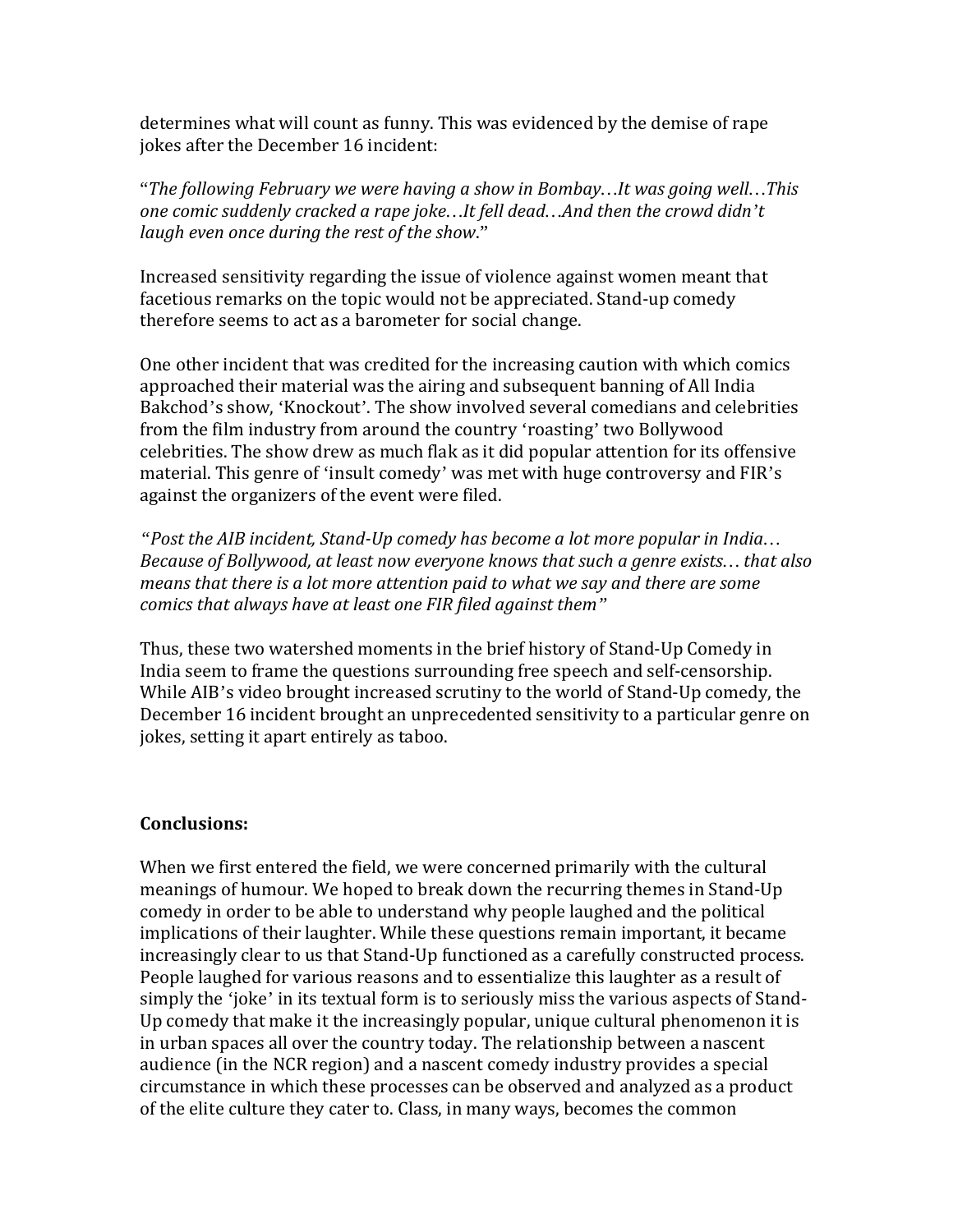determines what will count as funny. This was evidenced by the demise of rape jokes after the December 16 incident:

"*The following February we were having a show in Bombay…It was going well…This one comic suddenly cracked a rape joke…It fell dead…And then the crowd didn't laugh even once during the rest of the show*."

Increased sensitivity regarding the issue of violence against women meant that facetious remarks on the topic would not be appreciated. Stand-up comedy therefore seems to act as a barometer for social change.

One other incident that was credited for the increasing caution with which comics approached their material was the airing and subsequent banning of All India Bakchod's show, 'Knockout'. The show involved several comedians and celebrities from the film industry from around the country 'roasting' two Bollywood celebrities. The show drew as much flak as it did popular attention for its offensive material. This genre of 'insult comedy' was met with huge controversy and FIR's against the organizers of the event were filed.

*"Post the AIB incident, Stand-Up comedy has become a lot more popular in India… Because of Bollywood, at least now everyone knows that such a genre exists… that also means that there is a lot more attention paid to what we say and there are some comics that always have at least one FIR filed against them"*

Thus, these two watershed moments in the brief history of Stand-Up Comedy in India seem to frame the questions surrounding free speech and self-censorship. While AIB's video brought increased scrutiny to the world of Stand-Up comedy, the December 16 incident brought an unprecedented sensitivity to a particular genre on jokes, setting it apart entirely as taboo.

#### **Conclusions:**

When we first entered the field, we were concerned primarily with the cultural meanings of humour. We hoped to break down the recurring themes in Stand-Up comedy in order to be able to understand why people laughed and the political implications of their laughter. While these questions remain important, it became increasingly clear to us that Stand-Up functioned as a carefully constructed process. People laughed for various reasons and to essentialize this laughter as a result of simply the 'joke' in its textual form is to seriously miss the various aspects of Stand-Up comedy that make it the increasingly popular, unique cultural phenomenon it is in urban spaces all over the country today. The relationship between a nascent audience (in the NCR region) and a nascent comedy industry provides a special circumstance in which these processes can be observed and analyzed as a product of the elite culture they cater to. Class, in many ways, becomes the common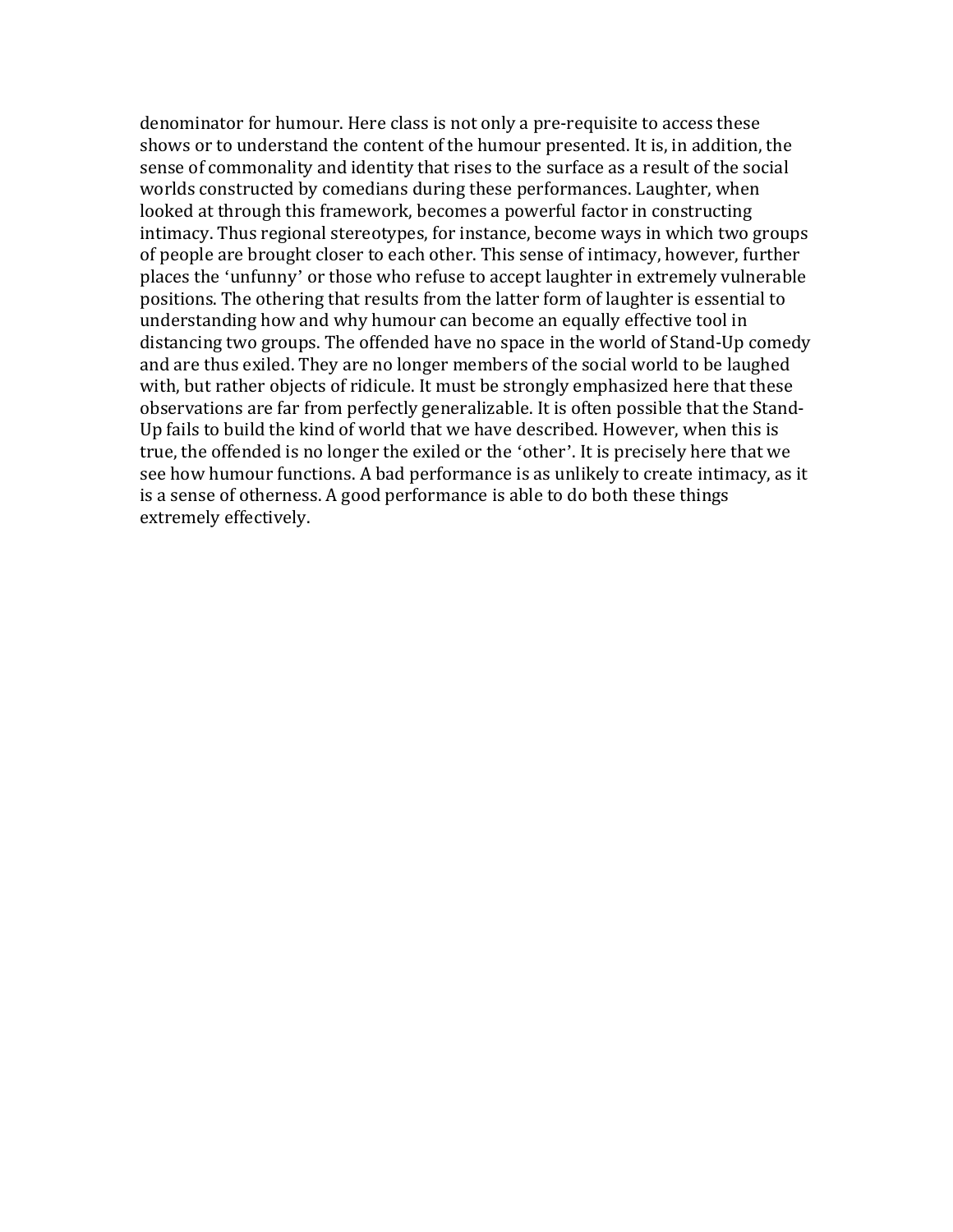denominator for humour. Here class is not only a pre-requisite to access these shows or to understand the content of the humour presented. It is, in addition, the sense of commonality and identity that rises to the surface as a result of the social worlds constructed by comedians during these performances. Laughter, when looked at through this framework, becomes a powerful factor in constructing intimacy. Thus regional stereotypes, for instance, become ways in which two groups of people are brought closer to each other. This sense of intimacy, however, further places the 'unfunny' or those who refuse to accept laughter in extremely vulnerable positions. The othering that results from the latter form of laughter is essential to understanding how and why humour can become an equally effective tool in distancing two groups. The offended have no space in the world of Stand-Up comedy and are thus exiled. They are no longer members of the social world to be laughed with, but rather objects of ridicule. It must be strongly emphasized here that these observations are far from perfectly generalizable. It is often possible that the Stand-Up fails to build the kind of world that we have described. However, when this is true, the offended is no longer the exiled or the 'other'. It is precisely here that we see how humour functions. A bad performance is as unlikely to create intimacy, as it is a sense of otherness. A good performance is able to do both these things extremely effectively.